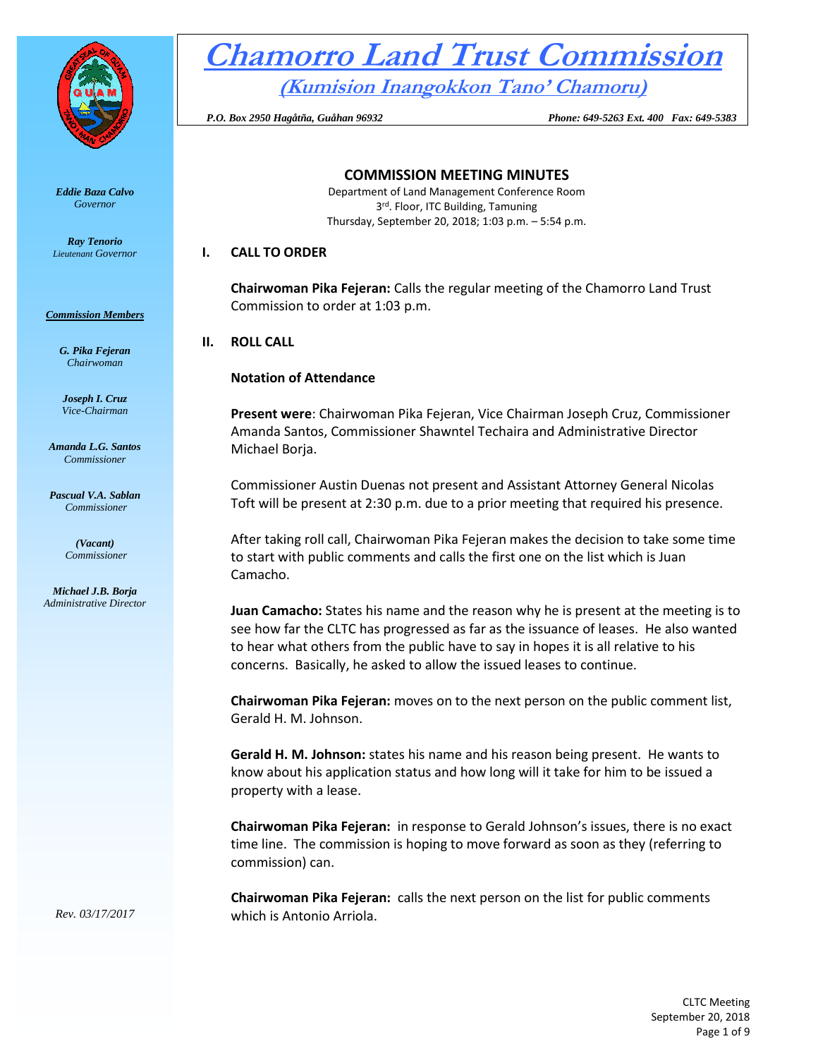

*Eddie Baza Calvo Governor* 

*Ray Tenorio Lieutenant Governor* 

#### *Commission Members*

*G. Pika Fejeran Chairwoman*

*Joseph I. Cruz Vice-Chairman*

*Amanda L.G. Santos Commissioner*

*Pascual V.A. Sablan Commissioner*

> *(Vacant) Commissioner*

*Michael J.B. Borja Administrative Director*

# **Chamorro Land Trust Commission (Kumision Inangokkon Tano' Chamoru)**

 *P.O. Box 2950 Hagåtña, Guåhan 96932 Phone: 649-5263 Ext. 400 Fax: 649-5383*

**COMMISSION MEETING MINUTES**

Department of Land Management Conference Room 3<sup>rd</sup>. Floor, ITC Building, Tamuning Thursday, September 20, 2018; 1:03 p.m. – 5:54 p.m.

## **I. CALL TO ORDER**

**Chairwoman Pika Fejeran:** Calls the regular meeting of the Chamorro Land Trust Commission to order at 1:03 p.m.

## **II. ROLL CALL**

## **Notation of Attendance**

**Present were**: Chairwoman Pika Fejeran, Vice Chairman Joseph Cruz, Commissioner Amanda Santos, Commissioner Shawntel Techaira and Administrative Director Michael Borja.

Commissioner Austin Duenas not present and Assistant Attorney General Nicolas Toft will be present at 2:30 p.m. due to a prior meeting that required his presence.

After taking roll call, Chairwoman Pika Fejeran makes the decision to take some time to start with public comments and calls the first one on the list which is Juan Camacho.

**Juan Camacho:** States his name and the reason why he is present at the meeting is to see how far the CLTC has progressed as far as the issuance of leases. He also wanted to hear what others from the public have to say in hopes it is all relative to his concerns. Basically, he asked to allow the issued leases to continue.

**Chairwoman Pika Fejeran:** moves on to the next person on the public comment list, Gerald H. M. Johnson.

**Gerald H. M. Johnson:** states his name and his reason being present. He wants to know about his application status and how long will it take for him to be issued a property with a lease.

**Chairwoman Pika Fejeran:** in response to Gerald Johnson's issues, there is no exact time line. The commission is hoping to move forward as soon as they (referring to commission) can.

**Chairwoman Pika Fejeran:** calls the next person on the list for public comments which is Antonio Arriola.

> CLTC Meeting September 20, 2018 Page 1 of 9

*Rev. 03/17/2017*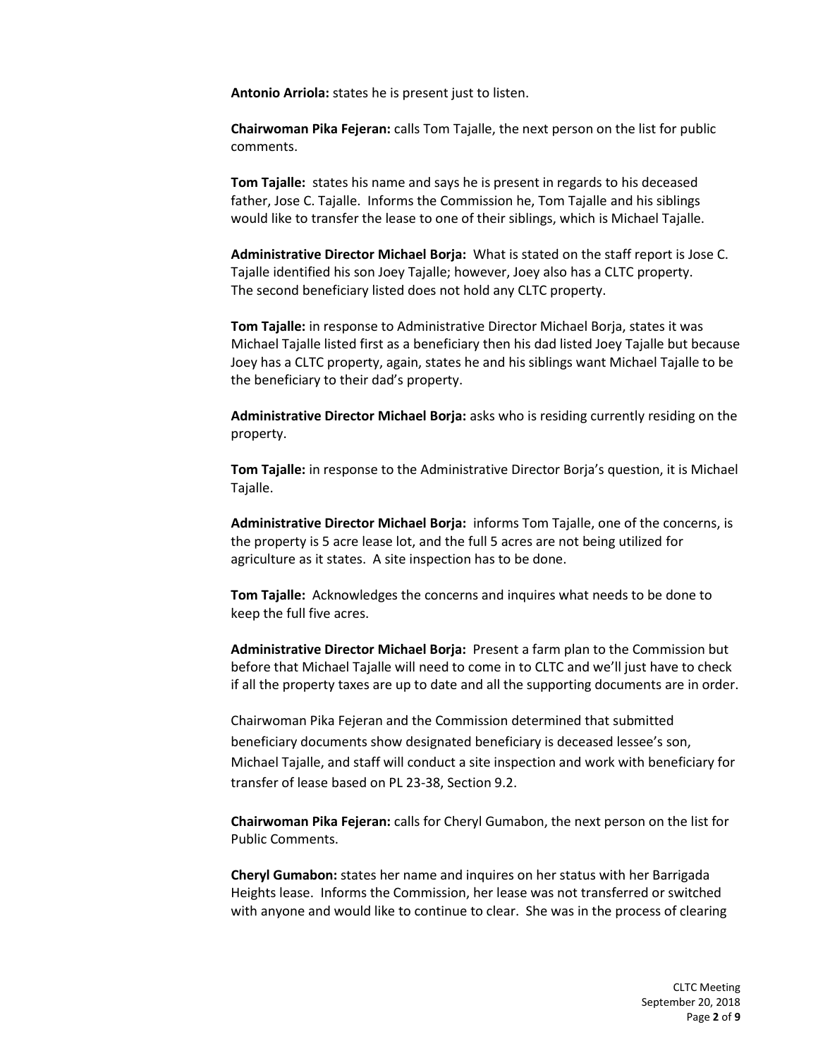**Antonio Arriola:** states he is present just to listen.

**Chairwoman Pika Fejeran:** calls Tom Tajalle, the next person on the list for public comments.

**Tom Tajalle:** states his name and says he is present in regards to his deceased father, Jose C. Tajalle. Informs the Commission he, Tom Tajalle and his siblings would like to transfer the lease to one of their siblings, which is Michael Tajalle.

**Administrative Director Michael Borja:** What is stated on the staff report is Jose C. Tajalle identified his son Joey Tajalle; however, Joey also has a CLTC property. The second beneficiary listed does not hold any CLTC property.

**Tom Tajalle:** in response to Administrative Director Michael Borja, states it was Michael Tajalle listed first as a beneficiary then his dad listed Joey Tajalle but because Joey has a CLTC property, again, states he and his siblings want Michael Tajalle to be the beneficiary to their dad's property.

**Administrative Director Michael Borja:** asks who is residing currently residing on the property.

**Tom Tajalle:** in response to the Administrative Director Borja's question, it is Michael Tajalle.

**Administrative Director Michael Borja:** informs Tom Tajalle, one of the concerns, is the property is 5 acre lease lot, and the full 5 acres are not being utilized for agriculture as it states. A site inspection has to be done.

**Tom Tajalle:** Acknowledges the concerns and inquires what needs to be done to keep the full five acres.

**Administrative Director Michael Borja:** Present a farm plan to the Commission but before that Michael Tajalle will need to come in to CLTC and we'll just have to check if all the property taxes are up to date and all the supporting documents are in order.

Chairwoman Pika Fejeran and the Commission determined that submitted beneficiary documents show designated beneficiary is deceased lessee's son, Michael Tajalle, and staff will conduct a site inspection and work with beneficiary for transfer of lease based on PL 23-38, Section 9.2.

**Chairwoman Pika Fejeran:** calls for Cheryl Gumabon, the next person on the list for Public Comments.

**Cheryl Gumabon:** states her name and inquires on her status with her Barrigada Heights lease. Informs the Commission, her lease was not transferred or switched with anyone and would like to continue to clear. She was in the process of clearing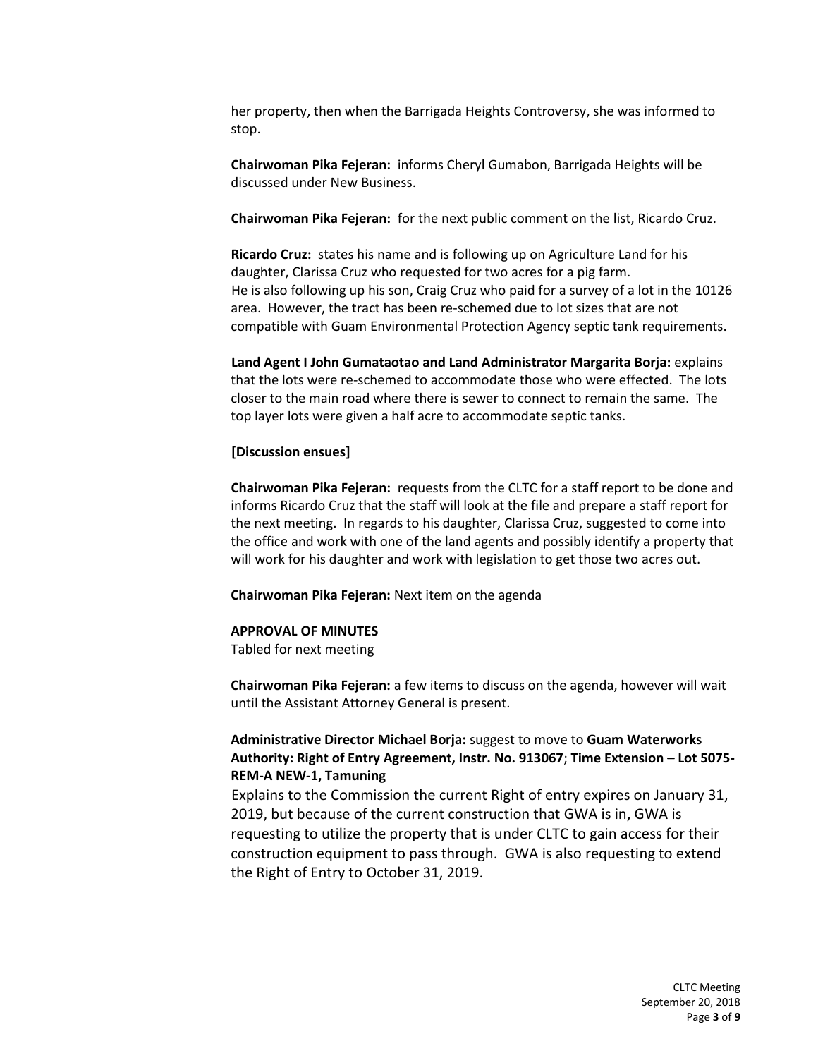her property, then when the Barrigada Heights Controversy, she was informed to stop.

**Chairwoman Pika Fejeran:** informs Cheryl Gumabon, Barrigada Heights will be discussed under New Business.

**Chairwoman Pika Fejeran:** for the next public comment on the list, Ricardo Cruz.

**Ricardo Cruz:** states his name and is following up on Agriculture Land for his daughter, Clarissa Cruz who requested for two acres for a pig farm. He is also following up his son, Craig Cruz who paid for a survey of a lot in the 10126 area. However, the tract has been re-schemed due to lot sizes that are not compatible with Guam Environmental Protection Agency septic tank requirements.

**Land Agent I John Gumataotao and Land Administrator Margarita Borja:** explains that the lots were re-schemed to accommodate those who were effected. The lots closer to the main road where there is sewer to connect to remain the same. The top layer lots were given a half acre to accommodate septic tanks.

#### **[Discussion ensues]**

**Chairwoman Pika Fejeran:** requests from the CLTC for a staff report to be done and informs Ricardo Cruz that the staff will look at the file and prepare a staff report for the next meeting. In regards to his daughter, Clarissa Cruz, suggested to come into the office and work with one of the land agents and possibly identify a property that will work for his daughter and work with legislation to get those two acres out.

**Chairwoman Pika Fejeran:** Next item on the agenda

#### **APPROVAL OF MINUTES**

Tabled for next meeting

**Chairwoman Pika Fejeran:** a few items to discuss on the agenda, however will wait until the Assistant Attorney General is present.

## **Administrative Director Michael Borja:** suggest to move to **Guam Waterworks Authority: Right of Entry Agreement, Instr. No. 913067**; **Time Extension – Lot 5075- REM-A NEW-1, Tamuning**

Explains to the Commission the current Right of entry expires on January 31, 2019, but because of the current construction that GWA is in, GWA is requesting to utilize the property that is under CLTC to gain access for their construction equipment to pass through. GWA is also requesting to extend the Right of Entry to October 31, 2019.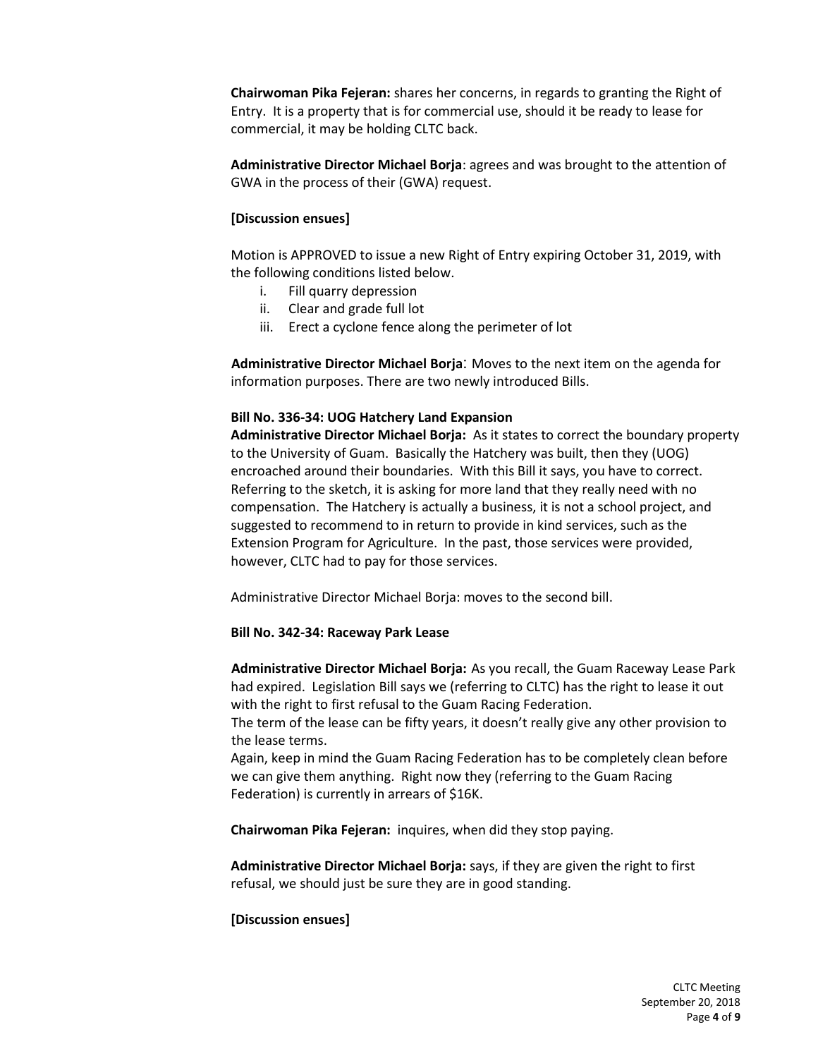**Chairwoman Pika Fejeran:** shares her concerns, in regards to granting the Right of Entry. It is a property that is for commercial use, should it be ready to lease for commercial, it may be holding CLTC back.

**Administrative Director Michael Borja**: agrees and was brought to the attention of GWA in the process of their (GWA) request.

### **[Discussion ensues]**

Motion is APPROVED to issue a new Right of Entry expiring October 31, 2019, with the following conditions listed below.

- i. Fill quarry depression
- ii. Clear and grade full lot
- iii. Erect a cyclone fence along the perimeter of lot

**Administrative Director Michael Borja**: Moves to the next item on the agenda for information purposes. There are two newly introduced Bills.

#### **Bill No. 336-34: UOG Hatchery Land Expansion**

**Administrative Director Michael Borja:** As it states to correct the boundary property to the University of Guam. Basically the Hatchery was built, then they (UOG) encroached around their boundaries. With this Bill it says, you have to correct. Referring to the sketch, it is asking for more land that they really need with no compensation. The Hatchery is actually a business, it is not a school project, and suggested to recommend to in return to provide in kind services, such as the Extension Program for Agriculture. In the past, those services were provided, however, CLTC had to pay for those services.

Administrative Director Michael Borja: moves to the second bill.

#### **Bill No. 342-34: Raceway Park Lease**

**Administrative Director Michael Borja:** As you recall, the Guam Raceway Lease Park had expired. Legislation Bill says we (referring to CLTC) has the right to lease it out with the right to first refusal to the Guam Racing Federation.

The term of the lease can be fifty years, it doesn't really give any other provision to the lease terms.

Again, keep in mind the Guam Racing Federation has to be completely clean before we can give them anything. Right now they (referring to the Guam Racing Federation) is currently in arrears of \$16K.

**Chairwoman Pika Fejeran:** inquires, when did they stop paying.

**Administrative Director Michael Borja:** says, if they are given the right to first refusal, we should just be sure they are in good standing.

#### **[Discussion ensues]**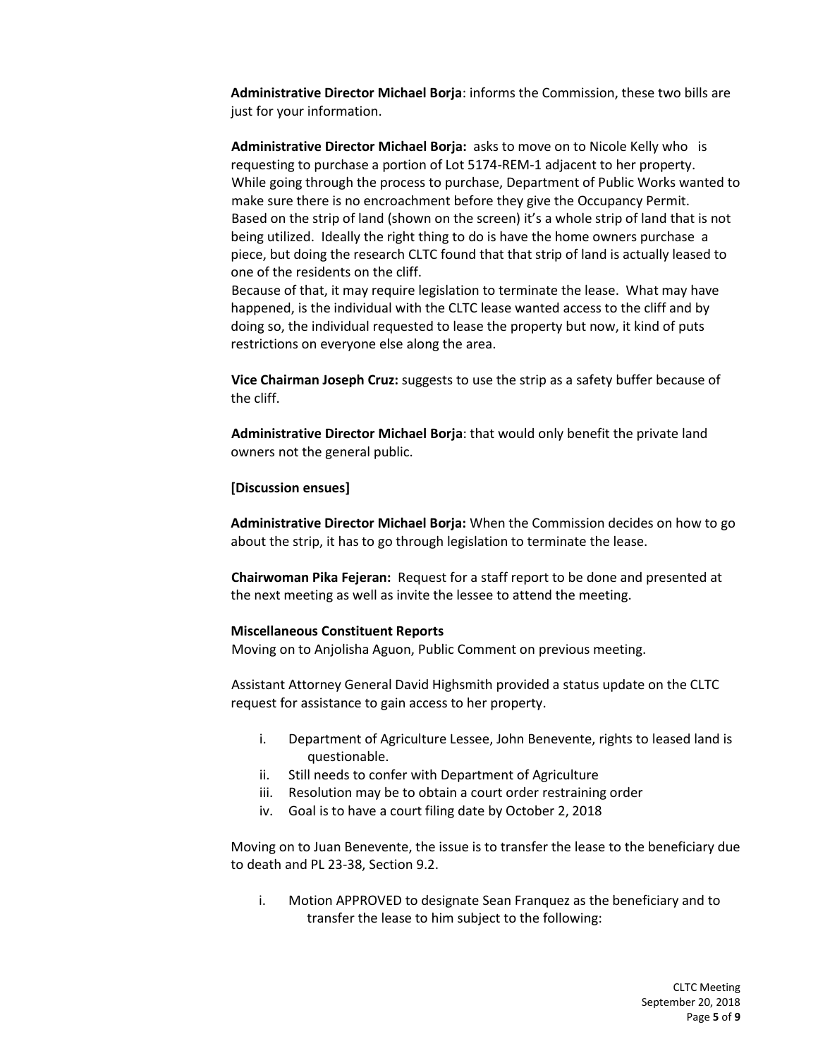**Administrative Director Michael Borja**: informs the Commission, these two bills are just for your information.

**Administrative Director Michael Borja:** asks to move on to Nicole Kelly who is requesting to purchase a portion of Lot 5174-REM-1 adjacent to her property. While going through the process to purchase, Department of Public Works wanted to make sure there is no encroachment before they give the Occupancy Permit. Based on the strip of land (shown on the screen) it's a whole strip of land that is not being utilized. Ideally the right thing to do is have the home owners purchase a piece, but doing the research CLTC found that that strip of land is actually leased to one of the residents on the cliff.

Because of that, it may require legislation to terminate the lease. What may have happened, is the individual with the CLTC lease wanted access to the cliff and by doing so, the individual requested to lease the property but now, it kind of puts restrictions on everyone else along the area.

**Vice Chairman Joseph Cruz:** suggests to use the strip as a safety buffer because of the cliff.

**Administrative Director Michael Borja**: that would only benefit the private land owners not the general public.

#### **[Discussion ensues]**

**Administrative Director Michael Borja:** When the Commission decides on how to go about the strip, it has to go through legislation to terminate the lease.

**Chairwoman Pika Fejeran:** Request for a staff report to be done and presented at the next meeting as well as invite the lessee to attend the meeting.

#### **Miscellaneous Constituent Reports**

Moving on to Anjolisha Aguon, Public Comment on previous meeting.

Assistant Attorney General David Highsmith provided a status update on the CLTC request for assistance to gain access to her property.

- i. Department of Agriculture Lessee, John Benevente, rights to leased land is questionable.
- ii. Still needs to confer with Department of Agriculture
- iii. Resolution may be to obtain a court order restraining order
- iv. Goal is to have a court filing date by October 2, 2018

Moving on to Juan Benevente, the issue is to transfer the lease to the beneficiary due to death and PL 23-38, Section 9.2.

i. Motion APPROVED to designate Sean Franquez as the beneficiary and to transfer the lease to him subject to the following: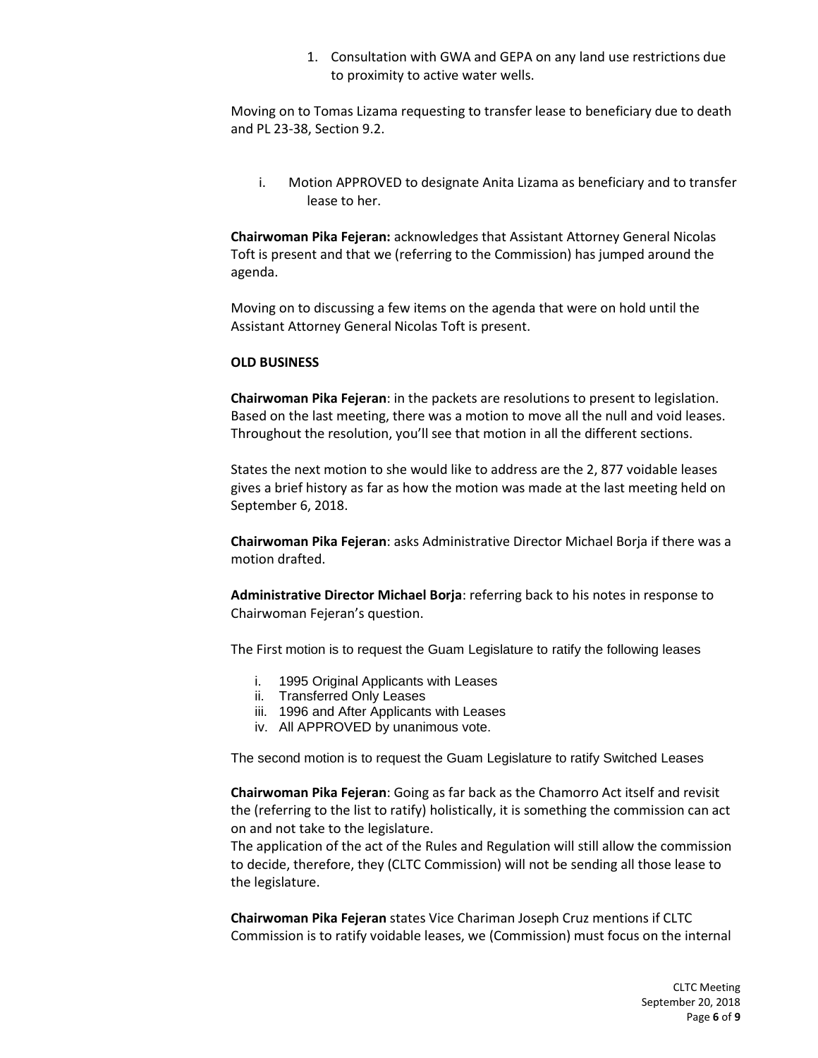1. Consultation with GWA and GEPA on any land use restrictions due to proximity to active water wells.

Moving on to Tomas Lizama requesting to transfer lease to beneficiary due to death and PL 23-38, Section 9.2.

i. Motion APPROVED to designate Anita Lizama as beneficiary and to transfer lease to her.

**Chairwoman Pika Fejeran:** acknowledges that Assistant Attorney General Nicolas Toft is present and that we (referring to the Commission) has jumped around the agenda.

Moving on to discussing a few items on the agenda that were on hold until the Assistant Attorney General Nicolas Toft is present.

#### **OLD BUSINESS**

**Chairwoman Pika Fejeran**: in the packets are resolutions to present to legislation. Based on the last meeting, there was a motion to move all the null and void leases. Throughout the resolution, you'll see that motion in all the different sections.

States the next motion to she would like to address are the 2, 877 voidable leases gives a brief history as far as how the motion was made at the last meeting held on September 6, 2018.

**Chairwoman Pika Fejeran**: asks Administrative Director Michael Borja if there was a motion drafted.

**Administrative Director Michael Borja**: referring back to his notes in response to Chairwoman Fejeran's question.

The First motion is to request the Guam Legislature to ratify the following leases

- i. 1995 Original Applicants with Leases
- ii. Transferred Only Leases
- iii. 1996 and After Applicants with Leases
- iv. All APPROVED by unanimous vote.

The second motion is to request the Guam Legislature to ratify Switched Leases

**Chairwoman Pika Fejeran**: Going as far back as the Chamorro Act itself and revisit the (referring to the list to ratify) holistically, it is something the commission can act on and not take to the legislature.

The application of the act of the Rules and Regulation will still allow the commission to decide, therefore, they (CLTC Commission) will not be sending all those lease to the legislature.

**Chairwoman Pika Fejeran** states Vice Chariman Joseph Cruz mentions if CLTC Commission is to ratify voidable leases, we (Commission) must focus on the internal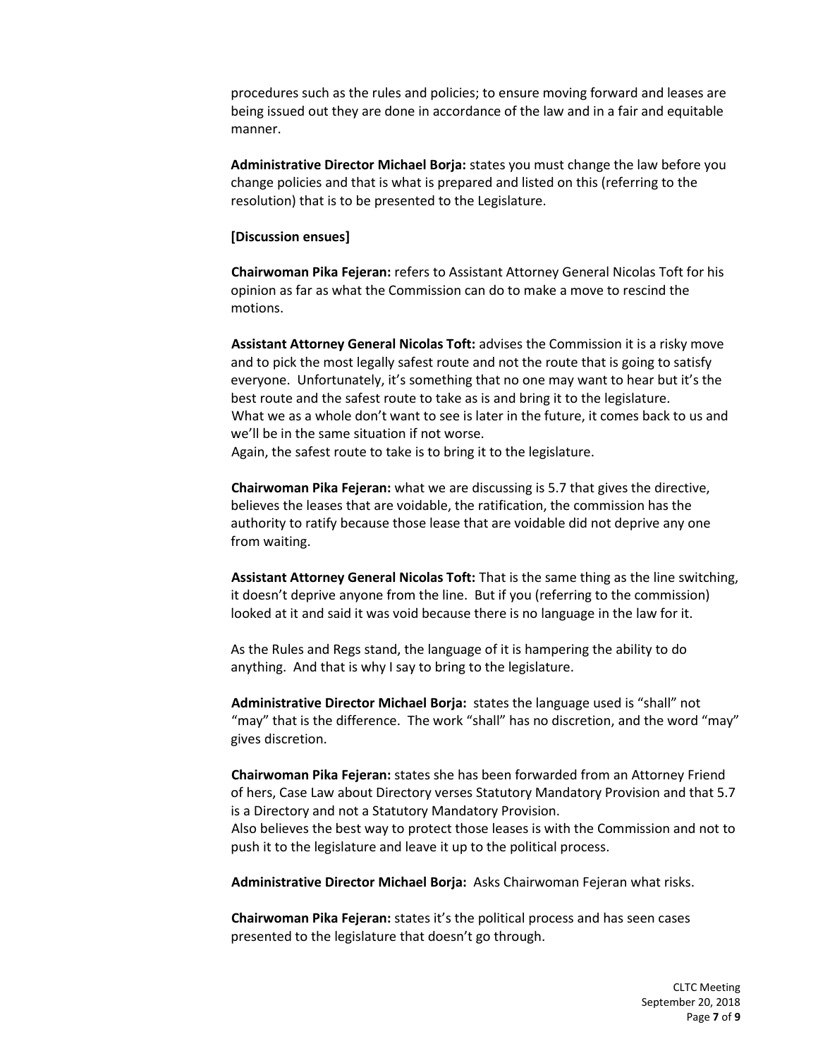procedures such as the rules and policies; to ensure moving forward and leases are being issued out they are done in accordance of the law and in a fair and equitable manner.

**Administrative Director Michael Borja:** states you must change the law before you change policies and that is what is prepared and listed on this (referring to the resolution) that is to be presented to the Legislature.

#### **[Discussion ensues]**

**Chairwoman Pika Fejeran:** refers to Assistant Attorney General Nicolas Toft for his opinion as far as what the Commission can do to make a move to rescind the motions.

**Assistant Attorney General Nicolas Toft:** advises the Commission it is a risky move and to pick the most legally safest route and not the route that is going to satisfy everyone. Unfortunately, it's something that no one may want to hear but it's the best route and the safest route to take as is and bring it to the legislature. What we as a whole don't want to see is later in the future, it comes back to us and we'll be in the same situation if not worse.

Again, the safest route to take is to bring it to the legislature.

**Chairwoman Pika Fejeran:** what we are discussing is 5.7 that gives the directive, believes the leases that are voidable, the ratification, the commission has the authority to ratify because those lease that are voidable did not deprive any one from waiting.

**Assistant Attorney General Nicolas Toft:** That is the same thing as the line switching, it doesn't deprive anyone from the line. But if you (referring to the commission) looked at it and said it was void because there is no language in the law for it.

As the Rules and Regs stand, the language of it is hampering the ability to do anything. And that is why I say to bring to the legislature.

**Administrative Director Michael Borja:** states the language used is "shall" not "may" that is the difference. The work "shall" has no discretion, and the word "may" gives discretion.

**Chairwoman Pika Fejeran:** states she has been forwarded from an Attorney Friend of hers, Case Law about Directory verses Statutory Mandatory Provision and that 5.7 is a Directory and not a Statutory Mandatory Provision. Also believes the best way to protect those leases is with the Commission and not to push it to the legislature and leave it up to the political process.

**Administrative Director Michael Borja:** Asks Chairwoman Fejeran what risks.

**Chairwoman Pika Fejeran:** states it's the political process and has seen cases presented to the legislature that doesn't go through.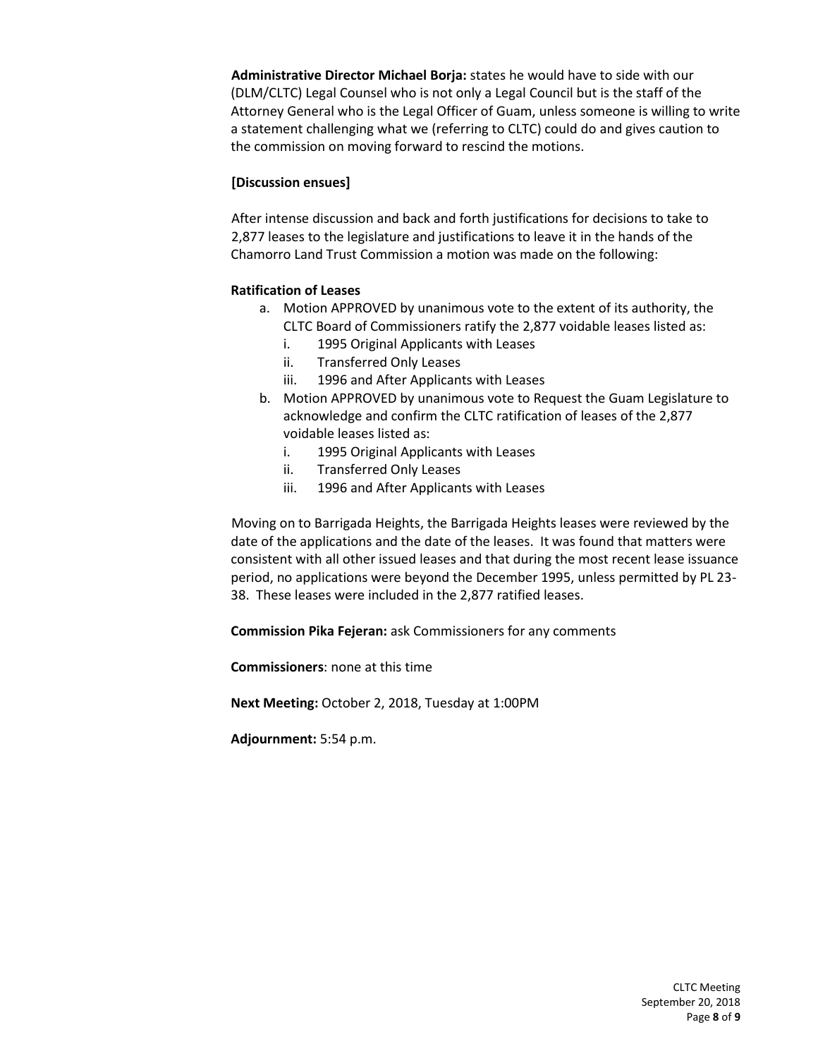**Administrative Director Michael Borja:** states he would have to side with our (DLM/CLTC) Legal Counsel who is not only a Legal Council but is the staff of the Attorney General who is the Legal Officer of Guam, unless someone is willing to write a statement challenging what we (referring to CLTC) could do and gives caution to the commission on moving forward to rescind the motions.

## **[Discussion ensues]**

After intense discussion and back and forth justifications for decisions to take to 2,877 leases to the legislature and justifications to leave it in the hands of the Chamorro Land Trust Commission a motion was made on the following:

## **Ratification of Leases**

- a. Motion APPROVED by unanimous vote to the extent of its authority, the CLTC Board of Commissioners ratify the 2,877 voidable leases listed as:
	- i. 1995 Original Applicants with Leases
	- ii. Transferred Only Leases
	- iii. 1996 and After Applicants with Leases
- b. Motion APPROVED by unanimous vote to Request the Guam Legislature to acknowledge and confirm the CLTC ratification of leases of the 2,877 voidable leases listed as:
	- i. 1995 Original Applicants with Leases
	- ii. Transferred Only Leases
	- iii. 1996 and After Applicants with Leases

Moving on to Barrigada Heights, the Barrigada Heights leases were reviewed by the date of the applications and the date of the leases. It was found that matters were consistent with all other issued leases and that during the most recent lease issuance period, no applications were beyond the December 1995, unless permitted by PL 23- 38. These leases were included in the 2,877 ratified leases.

**Commission Pika Fejeran:** ask Commissioners for any comments

**Commissioners**: none at this time

**Next Meeting:** October 2, 2018, Tuesday at 1:00PM

**Adjournment:** 5:54 p.m.